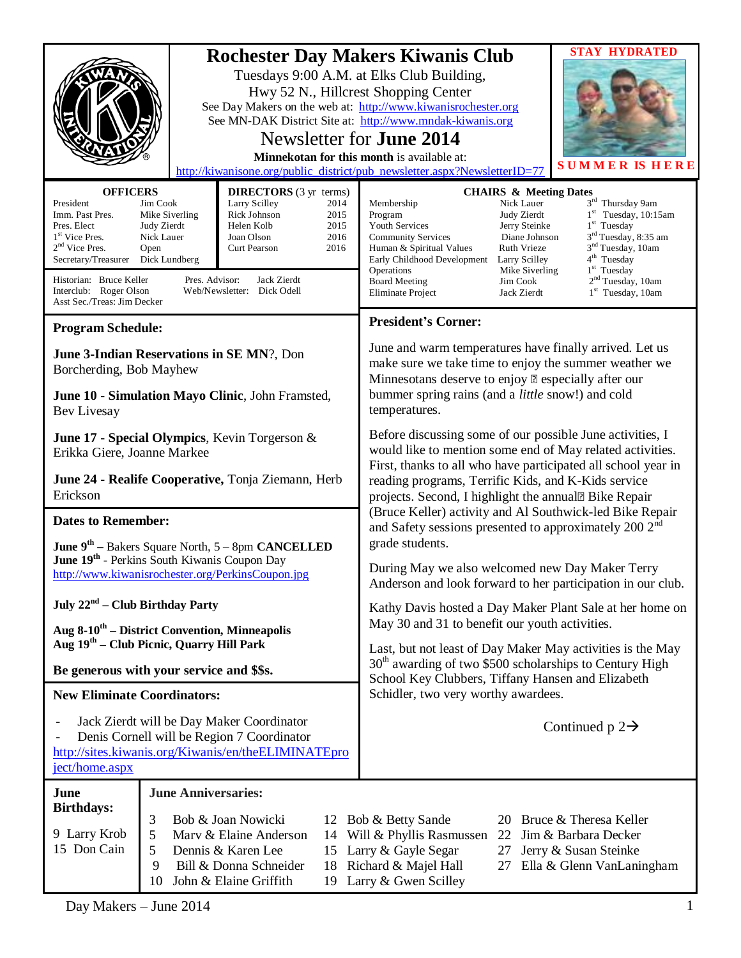|                                                                                                                                                                                                                                                                                                                                                                                                                                                                                                                                                                  |  |  | <b>STAY HYDRATED</b><br><b>Rochester Day Makers Kiwanis Club</b><br>Tuesdays 9:00 A.M. at Elks Club Building,<br>Hwy 52 N., Hillcrest Shopping Center<br>See Day Makers on the web at: http://www.kiwanisrochester.org<br>See MN-DAK District Site at: http://www.mndak-kiwanis.org<br>Newsletter for <b>June 2014</b><br>Minnekotan for this month is available at:<br><b>SUMMER IS HE</b><br>http://kiwanisone.org/public_district/pub_newsletter.aspx?NewsletterID=77                                                                                                                                                                                                                                                                                                                                                                                                     |  |
|------------------------------------------------------------------------------------------------------------------------------------------------------------------------------------------------------------------------------------------------------------------------------------------------------------------------------------------------------------------------------------------------------------------------------------------------------------------------------------------------------------------------------------------------------------------|--|--|------------------------------------------------------------------------------------------------------------------------------------------------------------------------------------------------------------------------------------------------------------------------------------------------------------------------------------------------------------------------------------------------------------------------------------------------------------------------------------------------------------------------------------------------------------------------------------------------------------------------------------------------------------------------------------------------------------------------------------------------------------------------------------------------------------------------------------------------------------------------------|--|
| <b>OFFICERS</b><br><b>DIRECTORS</b> (3 yr terms)<br>President<br>Jim Cook<br>Larry Scilley<br>2014<br>Rick Johnson<br>Imm. Past Pres.<br>Mike Siverling<br>2015<br>Helen Kolb<br>2015<br>Pres. Elect<br>Judy Zierdt<br>1 <sup>st</sup> Vice Pres.<br>2016<br>Nick Lauer<br>Joan Olson<br>$2nd$ Vice Pres.<br>2016<br>Open<br>Curt Pearson<br>Secretary/Treasurer<br>Dick Lundberg<br>Historian: Bruce Keller<br>Pres. Advisor:<br>Jack Zierdt<br>Interclub: Roger Olson<br>Web/Newsletter: Dick Odell<br>Asst Sec./Treas: Jim Decker<br><b>Program Schedule:</b> |  |  | <b>CHAIRS &amp; Meeting Dates</b><br>3rd Thursday 9am<br>Membership<br>Nick Lauer<br>$1st$ Tuesday, 10:15am<br>Judy Zierdt<br>Program<br>Youth Services<br>$1st$ Tuesday<br>Jerry Steinke<br>3 <sup>rd</sup> Tuesday, 8:35 am<br><b>Community Services</b><br>Diane Johnson<br>3 <sup>nd</sup> Tuesday, 10am<br><b>Ruth Vrieze</b><br>Human & Spiritual Values<br>4 <sup>th</sup> Tuesday<br>Early Childhood Development<br>Larry Scilley<br>$1st$ Tuesday<br>Operations<br>Mike Siverling<br>2 <sup>nd</sup> Tuesday, 10am<br><b>Board Meeting</b><br>Jim Cook<br>$1st$ Tuesday, 10am<br>Eliminate Project<br>Jack Zierdt<br><b>President's Corner:</b>                                                                                                                                                                                                                     |  |
| June 3-Indian Reservations in SE MN?, Don<br>Borcherding, Bob Mayhew<br>June 10 - Simulation Mayo Clinic, John Framsted,<br>Bev Livesay                                                                                                                                                                                                                                                                                                                                                                                                                          |  |  | June and warm temperatures have finally arrived. Let us<br>make sure we take time to enjoy the summer weather we<br>Minnesotans deserve to enjoy – especially after our<br>bummer spring rains (and a little snow!) and cold<br>temperatures.                                                                                                                                                                                                                                                                                                                                                                                                                                                                                                                                                                                                                                |  |
| June 17 - Special Olympics, Kevin Torgerson &<br>Erikka Giere, Joanne Markee<br>June 24 - Realife Cooperative, Tonja Ziemann, Herb<br>Erickson                                                                                                                                                                                                                                                                                                                                                                                                                   |  |  | Before discussing some of our possible June activities, I<br>would like to mention some end of May related activities.<br>First, thanks to all who have participated all school year in<br>reading programs, Terrific Kids, and K-Kids service<br>projects. Second, I highlight the annual" Bike Repair<br>(Bruce Keller) activity and Al Southwick-led Bike Repair<br>and Safety sessions presented to approximately 200 2 <sup>nd</sup><br>grade students.<br>During May we also welcomed new Day Maker Terry<br>Anderson and look forward to her participation in our club.<br>Kathy Davis hosted a Day Maker Plant Sale at her home on<br>May 30 and 31 to benefit our youth activities.<br>Last, but not least of Day Maker May activities is the May<br>$30th$ awarding of two \$500 scholarships to Century High<br>School Key Clubbers, Tiffany Hansen and Elizabeth |  |
| <b>Dates to Remember:</b><br><b>June 9th</b> – Bakers Square North, $5 - 8$ pm <b>CANCELLED</b><br><b>June 19th</b> - Perkins South Kiwanis Coupon Day<br>http://www.kiwanisrochester.org/PerkinsCoupon.ipg<br>July $22nd$ – Club Birthday Party<br>Aug 8-10 <sup>th</sup> – District Convention, Minneapolis                                                                                                                                                                                                                                                    |  |  |                                                                                                                                                                                                                                                                                                                                                                                                                                                                                                                                                                                                                                                                                                                                                                                                                                                                              |  |
| Aug 19 <sup>th</sup> – Club Picnic, Quarry Hill Park<br>Be generous with your service and \$\$s.                                                                                                                                                                                                                                                                                                                                                                                                                                                                 |  |  |                                                                                                                                                                                                                                                                                                                                                                                                                                                                                                                                                                                                                                                                                                                                                                                                                                                                              |  |
| <b>New Eliminate Coordinators:</b><br>Jack Zierdt will be Day Maker Coordinator<br>Denis Cornell will be Region 7 Coordinator<br>http://sites.kiwanis.org/Kiwanis/en/theELIMINATEpro<br>ject/home.aspx                                                                                                                                                                                                                                                                                                                                                           |  |  | Schidler, two very worthy awardees.<br>Continued $p 2 \rightarrow$                                                                                                                                                                                                                                                                                                                                                                                                                                                                                                                                                                                                                                                                                                                                                                                                           |  |
| <b>June Anniversaries:</b><br>June<br><b>Birthdays:</b><br>3<br>Bob & Joan Nowicki<br>Bruce & Theresa Keller<br>Bob & Betty Sande<br>12<br>20<br>9 Larry Krob<br>5<br>Mary & Elaine Anderson<br>Will & Phyllis Rasmussen<br>Jim & Barbara Decker<br>22<br>14<br>15 Don Cain<br>5<br>Dennis & Karen Lee<br>Larry & Gayle Segar<br>Jerry & Susan Steinke<br>27<br>15<br>9<br>Richard & Majel Hall<br>Bill & Donna Schneider<br>Ella & Glenn VanLaningham<br>18<br>27<br>19 Larry & Gwen Scilley<br>10<br>John & Elaine Griffith                                    |  |  |                                                                                                                                                                                                                                                                                                                                                                                                                                                                                                                                                                                                                                                                                                                                                                                                                                                                              |  |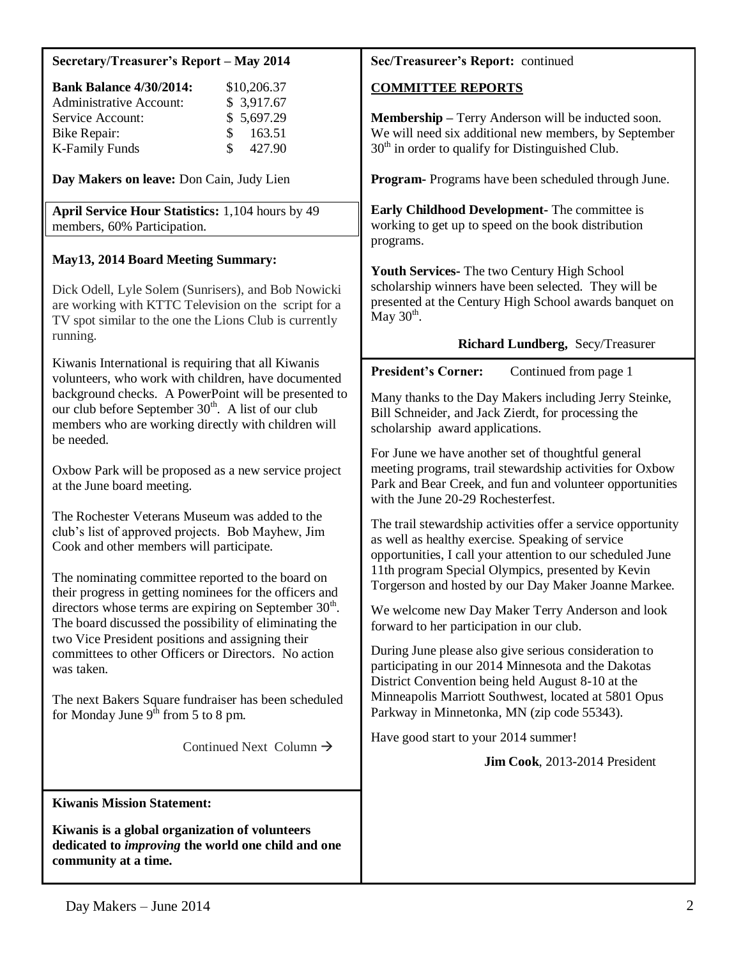| Secretary/Treasurer's Report - May 2014 |  |
|-----------------------------------------|--|
|                                         |  |

| <b>Bank Balance 4/30/2014:</b> |     | \$10,206.37 |
|--------------------------------|-----|-------------|
| <b>Administrative Account:</b> |     | \$3,917.67  |
| Service Account:               |     | \$5,697.29  |
| Bike Repair:                   | SS. | 163.51      |
| <b>K-Family Funds</b>          | S.  | 427.90      |

**Day Makers on leave:** Don Cain, Judy Lien

**April Service Hour Statistics:** 1,104 hours by 49 members, 60% Participation.

# **May13, 2014 Board Meeting Summary:**

Dick Odell, Lyle Solem (Sunrisers), and Bob Nowicki are working with KTTC Television on the script for a TV spot similar to the one the Lions Club is currently running.

Kiwanis International is requiring that all Kiwanis volunteers, who work with children, have documented background checks. A PowerPoint will be presented to our club before September  $30<sup>th</sup>$ . A list of our club members who are working directly with children will be needed.

Oxbow Park will be proposed as a new service project at the June board meeting.

The Rochester Veterans Museum was added to the club's list of approved projects. Bob Mayhew, Jim Cook and other members will participate.

The nominating committee reported to the board on their progress in getting nominees for the officers and directors whose terms are expiring on September  $30<sup>th</sup>$ . The board discussed the possibility of eliminating the two Vice President positions and assigning their committees to other Officers or Directors. No action was taken.

The next Bakers Square fundraiser has been scheduled for Monday June  $9<sup>th</sup>$  from 5 to 8 pm.

Continued Next Column  $\rightarrow$ 

**Kiwanis Mission Statement:**

**Kiwanis is a global organization of volunteers dedicated to** *improving* **the world one child and one community at a time.**

# **Sec/Treasureer's Report:** continued

# **COMMITTEE REPORTS**

**Membership –** Terry Anderson will be inducted soon. We will need six additional new members, by September  $30<sup>th</sup>$  in order to qualify for Distinguished Club.

**Program-** Programs have been scheduled through June.

**Early Childhood Development-** The committee is working to get up to speed on the book distribution programs.

**Youth Services-** The two Century High School scholarship winners have been selected. They will be presented at the Century High School awards banquet on  $\mathrm{May}~30^{\mathrm{th}}$ .

### **Richard Lundberg,** Secy/Treasurer

**President's Corner:** Continued from page 1

Many thanks to the Day Makers including Jerry Steinke, Bill Schneider, and Jack Zierdt, for processing the scholarship award applications.

For June we have another set of thoughtful general meeting programs, trail stewardship activities for Oxbow Park and Bear Creek, and fun and volunteer opportunities with the June 20-29 Rochesterfest.

The trail stewardship activities offer a service opportunity as well as healthy exercise. Speaking of service opportunities, I call your attention to our scheduled June 11th program Special Olympics, presented by Kevin Torgerson and hosted by our Day Maker Joanne Markee.

We welcome new Day Maker Terry Anderson and look forward to her participation in our club.

During June please also give serious consideration to participating in our 2014 Minnesota and the Dakotas District Convention being held August 8-10 at the Minneapolis Marriott Southwest, located at 5801 Opus Parkway in Minnetonka, MN (zip code 55343).

Have good start to your 2014 summer!

 **Jim Cook**, 2013-2014 President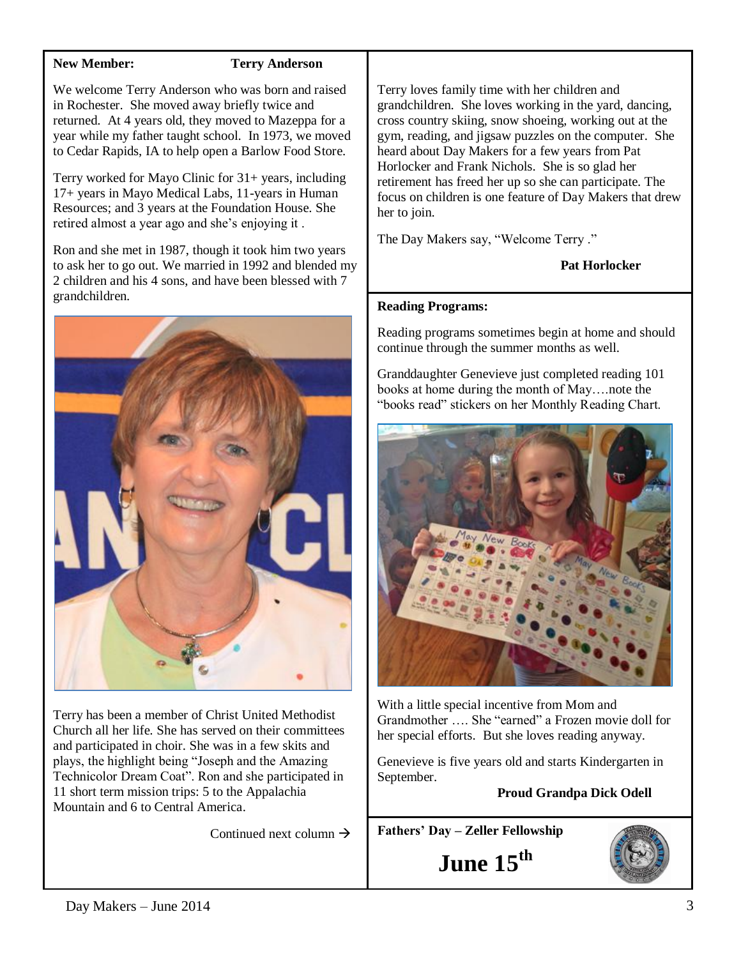## **New Member: Terry Anderson**

We welcome Terry Anderson who was born and raised in Rochester. She moved away briefly twice and returned. At 4 years old, they moved to Mazeppa for a year while my father taught school. In 1973, we moved to Cedar Rapids, IA to help open a Barlow Food Store.

Terry worked for Mayo Clinic for 31+ years, including 17+ years in Mayo Medical Labs, 11-years in Human Resources; and 3 years at the Foundation House. She retired almost a year ago and she's enjoying it .

Ron and she met in 1987, though it took him two years to ask her to go out. We married in 1992 and blended my 2 children and his 4 sons, and have been blessed with 7 grandchildren.



Terry has been a member of Christ United Methodist Church all her life. She has served on their committees and participated in choir. She was in a few skits and plays, the highlight being "Joseph and the Amazing Technicolor Dream Coat". Ron and she participated in 11 short term mission trips: 5 to the Appalachia Mountain and 6 to Central America.

Continued next column  $\rightarrow$ 

Terry loves family time with her children and grandchildren. She loves working in the yard, dancing, cross country skiing, snow shoeing, working out at the gym, reading, and jigsaw puzzles on the computer. She heard about Day Makers for a few years from Pat Horlocker and Frank Nichols. She is so glad her retirement has freed her up so she can participate. The focus on children is one feature of Day Makers that drew her to join.

The Day Makers say, "Welcome Terry ."

# **Pat Horlocker**

### **Reading Programs:**

Reading programs sometimes begin at home and should continue through the summer months as well.

Granddaughter Genevieve just completed reading 101 books at home during the month of May….note the "books read" stickers on her Monthly Reading Chart.



With a little special incentive from Mom and Grandmother …. She "earned" a Frozen movie doll for her special efforts. But she loves reading anyway.

Genevieve is five years old and starts Kindergarten in September.

# **Proud Grandpa Dick Odell**

**Fathers' Day – Zeller Fellowship**

**June 15th**